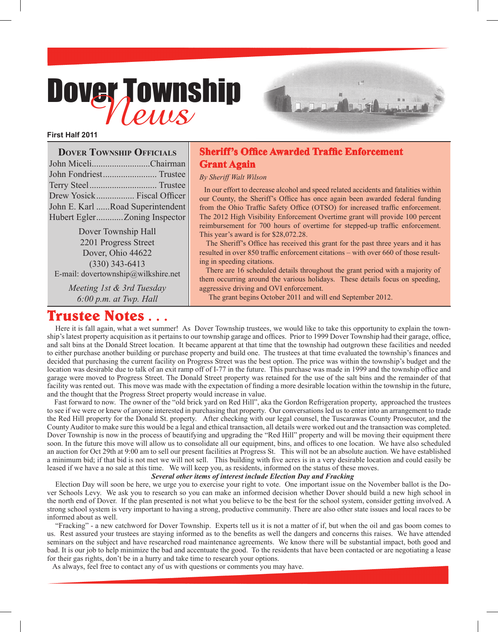# Dover Township



| <b>DOVER TOWNSHIP OFFICIALS</b> |                                  |
|---------------------------------|----------------------------------|
|                                 | John MiceliChairman              |
|                                 |                                  |
|                                 |                                  |
|                                 | Drew Yosick Fiscal Officer       |
|                                 | John E. Karl Road Superintendent |
|                                 | Hubert EglerZoning Inspector     |
|                                 |                                  |

Dover Township Hall 2201 Progress Street Dover, Ohio 44622 (330) 343-6413 E-mail: dovertownship@wilkshire.net

> *Meeting 1st & 3rd Tuesday 6:00 p.m. at Twp. Hall*

### **Sheriff's Office Awarded Traffic Enforcement Grant Again**

1222

#### *By Sheriff Walt Wilson*

 In our effort to decrease alcohol and speed related accidents and fatalities within our County, the Sheriff's Office has once again been awarded federal funding from the Ohio Traffic Safety Office (OTSO) for increased traffic enforcement. The 2012 High Visibility Enforcement Overtime grant will provide 100 percent reimbursement for 700 hours of overtime for stepped-up traffic enforcement. This year's award is for \$28,072.28.

 The Sheriff's Office has received this grant for the past three years and it has resulted in over 850 traffic enforcement citations – with over 660 of those resulting in speeding citations.

 There are 16 scheduled details throughout the grant period with a majority of them occurring around the various holidays. These details focus on speeding, aggressive driving and OVI enforcement.

The grant begins October 2011 and will end September 2012.

## **Trustee Notes . . .**

 Here it is fall again, what a wet summer! As Dover Township trustees, we would like to take this opportunity to explain the township's latest property acquisition as it pertains to our township garage and offices. Prior to 1999 Dover Township had their garage, office, and salt bins at the Donald Street location. It became apparent at that time that the township had outgrown these facilities and needed to either purchase another building or purchase property and build one. The trustees at that time evaluated the township's finances and decided that purchasing the current facility on Progress Street was the best option. The price was within the township's budget and the location was desirable due to talk of an exit ramp off of I-77 in the future. This purchase was made in 1999 and the township office and garage were moved to Progress Street. The Donald Street property was retained for the use of the salt bins and the remainder of that facility was rented out. This move was made with the expectation of finding a more desirable location within the township in the future, and the thought that the Progress Street property would increase in value.

 Fast forward to now. The owner of the "old brick yard on Red Hill", aka the Gordon Refrigeration property, approached the trustees to see if we were or knew of anyone interested in purchasing that property. Our conversations led us to enter into an arrangement to trade the Red Hill property for the Donald St. property. After checking with our legal counsel, the Tuscarawas County Prosecutor, and the County Auditor to make sure this would be a legal and ethical transaction, all details were worked out and the transaction was completed. Dover Township is now in the process of beautifying and upgrading the "Red Hill" property and will be moving their equipment there soon. In the future this move will allow us to consolidate all our equipment, bins, and offices to one location. We have also scheduled an auction for Oct 29th at 9:00 am to sell our present facilities at Progress St. This will not be an absolute auction. We have established a minimum bid; if that bid is not met we will not sell. This building with five acres is in a very desirable location and could easily be leased if we have a no sale at this time. We will keep you, as residents, informed on the status of these moves.

#### *Several other items of interest include Election Day and Fracking*

 Election Day will soon be here, we urge you to exercise your right to vote. One important issue on the November ballot is the Dover Schools Levy. We ask you to research so you can make an informed decision whether Dover should build a new high school in the north end of Dover. If the plan presented is not what you believe to be the best for the school system, consider getting involved. A strong school system is very important to having a strong, productive community. There are also other state issues and local races to be informed about as well.

 "Fracking" - a new catchword for Dover Township. Experts tell us it is not a matter of if, but when the oil and gas boom comes to us. Rest assured your trustees are staying informed as to the benefits as well the dangers and concerns this raises. We have attended seminars on the subject and have researched road maintenance agreements. We know there will be substantial impact, both good and bad. It is our job to help minimize the bad and accentuate the good. To the residents that have been contacted or are negotiating a lease for their gas rights, don't be in a hurry and take time to research your options.

As always, feel free to contact any of us with questions or comments you may have.